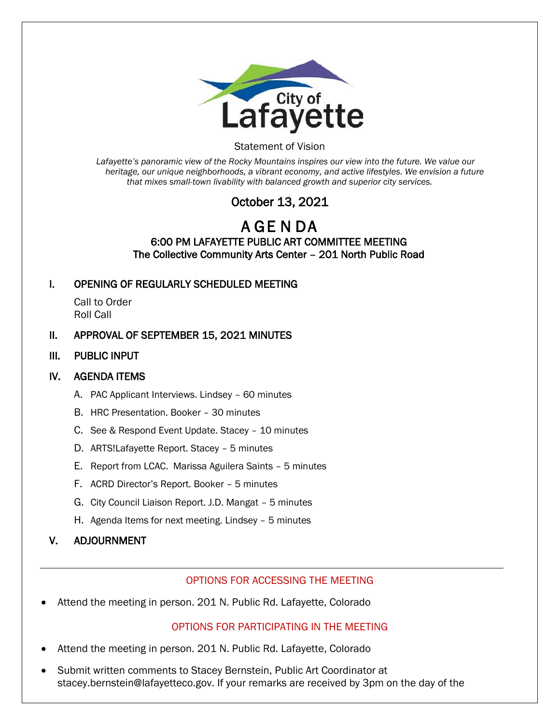

#### Statement of Vision

*Lafayette's panoramic view of the Rocky Mountains inspires our view into the future. We value our heritage, our unique neighborhoods, a vibrant economy, and active lifestyles. We envision a future that mixes small-town livability with balanced growth and superior city services.*

# October 13, 2021

## A GE N DA 6:00 PM LAFAYETTE PUBLIC ART COMMITTEE MEETING The Collective Community Arts Center – 201 North Public Road

#### I. OPENING OF REGULARLY SCHEDULED MEETING

Call to Order Roll Call

#### II. APPROVAL OF SEPTEMBER 15, 2021 MINUTES

III. PUBLIC INPUT

## IV. AGENDA ITEMS

- A. PAC Applicant Interviews. Lindsey 60 minutes
- B. HRC Presentation. Booker 30 minutes
- C. See & Respond Event Update. Stacey 10 minutes
- D. ARTS!Lafayette Report. Stacey 5 minutes
- E. Report from LCAC. Marissa Aguilera Saints 5 minutes
- F. ACRD Director's Report. Booker 5 minutes
- G. City Council Liaison Report. J.D. Mangat 5 minutes
- H. Agenda Items for next meeting. Lindsey 5 minutes

## V. ADJOURNMENT

#### OPTIONS FOR ACCESSING THE MEETING

• Attend the meeting in person. 201 N. Public Rd. Lafayette, Colorado

## OPTIONS FOR PARTICIPATING IN THE MEETING

- Attend the meeting in person. 201 N. Public Rd. Lafayette, Colorado
- Submit written comments to Stacey Bernstein, Public Art Coordinator at stacey.bernstein@lafayetteco.gov. If your remarks are received by 3pm on the day of the